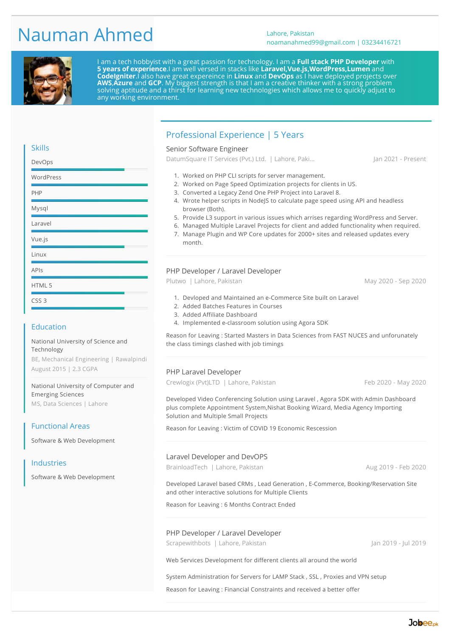# Nauman Ahmed Lahore, Pakistan

# noamanahmed99@gmail.com | 03234416721



I am a tech hobbyist with a great passion for technology. I am a **Full stack PHP Developer** with **5 years of experience**.I am well versed in stacks like **Laravel,Vue.js,WordPress,Lumen** and **CodeIgniter**.I also have great expereince in **Linux** and **DevOps** as I have deployed projects over **AWS**,**Azure** and **GCP**. My biggest strength is that I am a creative thinker with a strong problem solving aptitude and a thirst for learning new technologies which allows me to quickly adjust to any working environment.

# Professional Experience | 5 Years

#### Senior Software Engineer

DatumSquare IT Services (Pvt.) Ltd. | Lahore, Paki... [Jan 2021 - Present]

- 1. Worked on PHP CLI scripts for server management.
- 2. Worked on Page Speed Optimization projects for clients in US.
- 3. Converted a Legacy Zend One PHP Project into Laravel 8.
- 4. Wrote helper scripts in NodeJS to calculate page speed using API and headless browser (Both).
- 5. Provide L3 support in various issues which arrises regarding WordPress and Server.
- 6. Managed Multiple Laravel Projects for client and added functionality when required.
- 7. Manage Plugin and WP Core updates for 2000+ sites and released updates every month.

#### PHP Developer / Laravel Developer

Plutwo | Lahore, Pakistan May 2020 - Sep 2020

- 1. Devloped and Maintained an e-Commerce Site built on Laravel
- 2. Added Batches Features in Courses
- 3. Added Affiliate Dashboard
- 4. Implemented e-classroom solution using Agora SDK

Reason for Leaving : Started Masters in Data Sciences from FAST NUCES and unforunately the class timings clashed with job timings

#### PHP Laravel Developer

Crewlogix (Pvt)LTD | Lahore, Pakistan Feb 2020 - May 2020

Developed Video Conferencing Solution using Laravel , Agora SDK with Admin Dashboard plus complete Appointment System,Nishat Booking Wizard, Media Agency Importing Solution and Multiple Small Projects

Reason for Leaving : Victim of COVID 19 Economic Rescession

#### Laravel Developer and DevOPS

BrainloadTech | Lahore, Pakistan Aug 2019 - Feb 2020

Developed Laravel based CRMs , Lead Generation , E-Commerce, Booking/Reservation Site and other interactive solutions for Multiple Clients

Reason for Leaving : 6 Months Contract Ended

#### PHP Developer / Laravel Developer

Scrapewithbots | Lahore, Pakistan Jan 2019 - Jul 2019 - Jul 2019

Web Services Development for different clients all around the world

System Administration for Servers for LAMP Stack , SSL , Proxies and VPN setup

Reason for Leaving : Financial Constraints and received a better offer

Skills

| DevOps           |  |
|------------------|--|
| WordPress        |  |
| <b>PHP</b>       |  |
| Mysql            |  |
| Laravel          |  |
| Vue.js           |  |
| Linux            |  |
| APIs             |  |
| HTML 5           |  |
| CSS <sub>3</sub> |  |
|                  |  |

#### Education

National University of Science and Technology BE, Mechanical Engineering | Rawalpindi

August 2015 | 2.3 CGPA

National University of Computer and Emerging Sciences MS, Data Sciences | Lahore

#### Functional Areas

Software & Web Development

#### Industries

Software & Web Development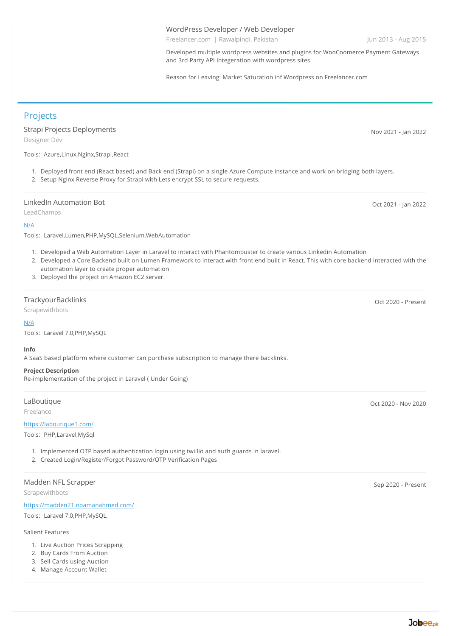#### WordPress Developer / Web Developer

Freelancer.com | Rawalpindi, Pakistan Jun 2013 - Aug 2015

Developed multiple wordpress websites and plugins for WooCoomerce Payment Gateways and 3rd Party API Integeration with wordpress sites

Reason for Leaving: Market Saturation inf Wordpress on Freelancer.com

**Projects** 

Strapi Projects Deployments Designer Dev

Tools: Azure,Linux,Nginx,Strapi,React

- 1. Deployed front end (React based) and Back end (Strapi) on a single Azure Compute instance and work on bridging both layers.
- 2. Setup Nginx Reverse Proxy for Strapi with Lets encrypt SSL to secure requests.

#### LinkedIn Automation Bot

LeadChamps

#### [N/A](https://n/A)

Tools: Laravel,Lumen,PHP,MySQL,Selenium,WebAutomation

- 1. Developed a Web Automation Layer in Laravel to interact with Phantombuster to create various Linkedin Automation
- 2. Developed a Core Backend built on Lumen Framework to interact with front end built in React. This with core backend interacted with the automation layer to create proper automation
- 3. Deployed the project on Amazon EC2 server.

#### **TrackyourBacklinks**

Scrapewithbots

#### [N/A](https://n/A)

Tools: Laravel 7.0,PHP,MySQL

#### **Info**

A SaaS based platform where customer can purchase subscription to manage there backlinks.

#### **Project Description**

Re-implementation of the project in Laravel ( Under Going)

#### **LaBoutique**

Freelance

#### <https://laboutique1.com/>

Tools: PHP,Laravel,MySql

- 1. Implemented OTP based authentication login using twillio and auth guards in laravel.
- 2. Created Login/Register/Forgot Password/OTP Verification Pages

#### Madden NFL Scrapper

Scrapewithbots

<https://madden21.noamanahmed.com/>

Tools: Laravel 7.0,PHP,MySQL,

### Salient Features

- 1. Live Auction Prices Scrapping
- 2. Buy Cards From Auction
- 3. Sell Cards using Auction
- 4. Manage Account Wallet

Oct 2021 - Jan 2022

Nov 2021 - Jan 2022

Oct 2020 - Present

Oct 2020 - Nov 2020

Sep 2020 - Present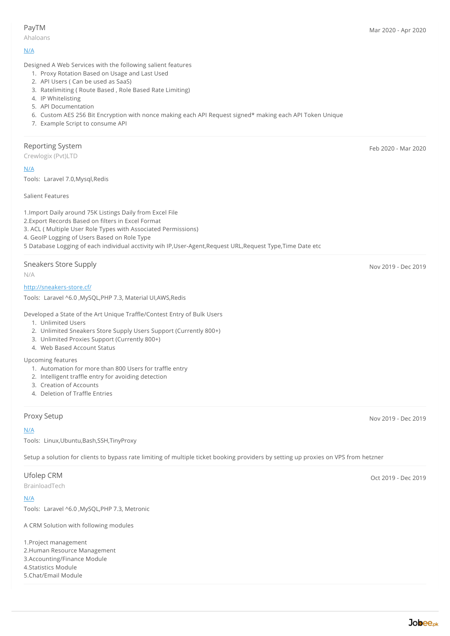#### PayTM

Ahaloans

Designed A Web Services with the following salient features

- 1. Proxy Rotation Based on Usage and Last Used
- 2. API Users ( Can be used as SaaS)
- 3. Ratelimiting ( Route Based , Role Based Rate Limiting)
- 4. IP Whitelisting
- 5. API Documentation
- 6. Custom AES 256 Bit Encryption with nonce making each API Request signed\* making each API Token Unique
- 7. Example Script to consume API

#### Reporting System

Crewlogix (Pvt)LTD

[N/A](https://n/A)

Tools: Laravel 7.0,Mysql,Redis

Salient Features

1.Import Daily around 75K Listings Daily from Excel File

2.Export Records Based on filters in Excel Format

- 3. ACL ( Multiple User Role Types with Associated Permissions)
- 4. GeoIP Logging of Users Based on Role Type

5 Database Logging of each individual acctivity wih IP,User-Agent,Request URL,Request Type,Time Date etc

#### Sneakers Store Supply

N/A

#### <http://sneakers-store.cf/>

Tools: Laravel ^6.0 ,MySQL,PHP 7.3, Material UI,AWS,Redis

Developed a State of the Art Unique Traffle/Contest Entry of Bulk Users

- 1. Unlimited Users
- 2. Unlimited Sneakers Store Supply Users Support (Currently 800+)
- 3. Unlimited Proxies Support (Currently 800+)
- 4. Web Based Account Status

#### Upcoming features

- 1. Automation for more than 800 Users for traffle entry
- 2. Intelligent traffle entry for avoiding detection
- 3. Creation of Accounts
- 4. Deletion of Traffle Entries

#### [N/A](https://n/A)

Tools: Linux,Ubuntu,Bash,SSH,TinyProxy

Setup a solution for clients to bypass rate limiting of multiple ticket booking providers by setting up proxies on VPS from hetzner

#### Ufolep CRM

BrainloadTech

#### [N/A](https://n/A)

Tools: Laravel ^6.0 ,MySQL,PHP 7.3, Metronic

A CRM Solution with following modules

1.Project management 2.Human Resource Management 3.Accounting/Finance Module 4.Statistics Module 5.Chat/Email Module

Feb 2020 - Mar 2020

Nov 2019 - Dec 2019

Proxy Setup Nov 2019 - Dec 2019

Oct 2019 - Dec 2019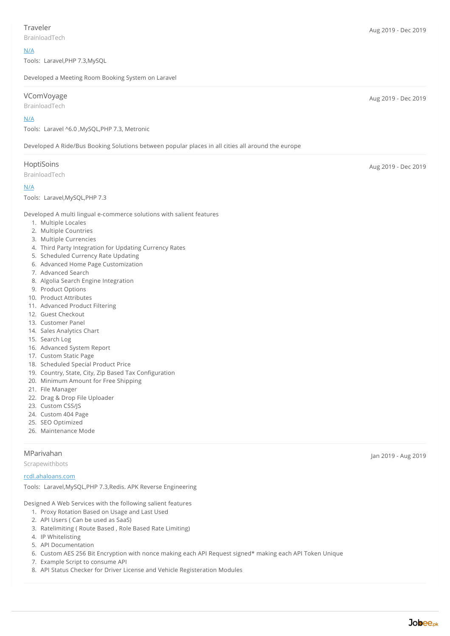BrainloadTech

#### [N/A](https://n/A)

Tools: Laravel,PHP 7.3,MySQL

Developed a Meeting Room Booking System on Laravel

#### VComVoyage

BrainloadTech

#### [N/A](https://n/A)

Tools: Laravel ^6.0 ,MySQL,PHP 7.3, Metronic

Developed A Ride/Bus Booking Solutions between popular places in all cities all around the europe

#### **HoptiSoins**

BrainloadTech

#### [N/A](https://n/A)

Tools: Laravel,MySQL,PHP 7.3

Developed A multi lingual e-commerce solutions with salient features

- 1. Multiple Locales
- 2. Multiple Countries
- 3. Multiple Currencies
- 4. Third Party Integration for Updating Currency Rates
- 5. Scheduled Currency Rate Updating
- 6. Advanced Home Page Customization
- 7. Advanced Search
- 8. Algolia Search Engine Integration
- 9. Product Options
- 10. Product Attributes
- 11. Advanced Product Filtering
- 12. Guest Checkout
- 13. Customer Panel
- 14. Sales Analytics Chart
- 15. Search Log
- 16. Advanced System Report
- 17. Custom Static Page
- 18. Scheduled Special Product Price
- 19. Country, State, City, Zip Based Tax Configuration
- 20. Minimum Amount for Free Shipping
- 21. File Manager
- 22. Drag & Drop File Uploader
- 23. Custom CSS/JS
- 24. Custom 404 Page
- 25. SEO Optimized
- 26. Maintenance Mode

#### MParivahan

Scrapewithbots

#### [rcdl.ahaloans.com](https://rcdl.ahaloans.com)

Tools: Laravel,MySQL,PHP 7.3,Redis. APK Reverse Engineering

Designed A Web Services with the following salient features

- 1. Proxy Rotation Based on Usage and Last Used
- 2. API Users ( Can be used as SaaS)
- 3. Ratelimiting ( Route Based , Role Based Rate Limiting)
- 4. IP Whitelisting
- 5. API Documentation
- 6. Custom AES 256 Bit Encryption with nonce making each API Request signed\* making each API Token Unique
- 7. Example Script to consume API
- 8. API Status Checker for Driver License and Vehicle Registeration Modules

Aug 2019 - Dec 2019

Aug 2019 - Dec 2019

Jan 2019 - Aug 2019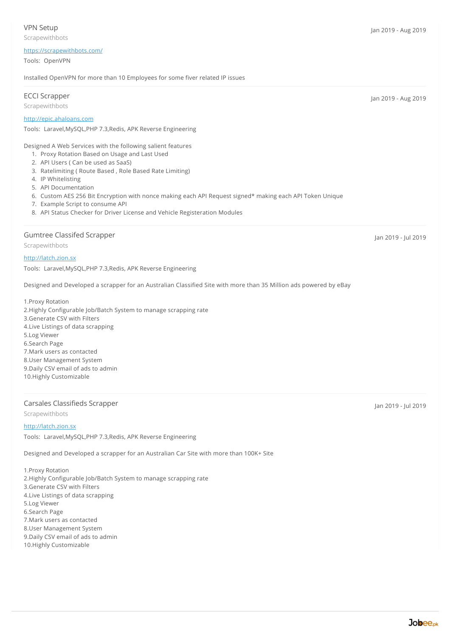#### Scrapewithbots

#### <https://scrapewithbots.com/>

Tools: OpenVPN

Installed OpenVPN for more than 10 Employees for some fiver related IP issues

#### ECCI Scrapper

Scrapewithbots

#### <http://epic.ahaloans.com>

Tools: Laravel,MySQL,PHP 7.3,Redis, APK Reverse Engineering

Designed A Web Services with the following salient features

- 1. Proxy Rotation Based on Usage and Last Used
- 2. API Users ( Can be used as SaaS)
- 3. Ratelimiting ( Route Based , Role Based Rate Limiting)
- 4. IP Whitelisting
- 5. API Documentation

6. Custom AES 256 Bit Encryption with nonce making each API Request signed\* making each API Token Unique

- 7. Example Script to consume API
- 8. API Status Checker for Driver License and Vehicle Registeration Modules

#### Gumtree Classifed Scrapper

Scrapewithbots

<http://latch.zion.sx>

Tools: Laravel,MySQL,PHP 7.3,Redis, APK Reverse Engineering

Designed and Developed a scrapper for an Australian Classified Site with more than 35 Million ads powered by eBay

1.Proxy Rotation 2.Highly Configurable Job/Batch System to manage scrapping rate 3.Generate CSV with Filters 4.Live Listings of data scrapping 5.Log Viewer 6.Search Page 7.Mark users as contacted 8.User Management System 9.Daily CSV email of ads to admin 10.Highly Customizable

#### Carsales Classifieds Scrapper

Scrapewithbots

#### <http://latch.zion.sx>

Tools: Laravel,MySQL,PHP 7.3,Redis, APK Reverse Engineering

Designed and Developed a scrapper for an Australian Car Site with more than 100K+ Site

1.Proxy Rotation 2.Highly Configurable Job/Batch System to manage scrapping rate 3.Generate CSV with Filters 4.Live Listings of data scrapping 5.Log Viewer 6.Search Page 7.Mark users as contacted 8.User Management System 9.Daily CSV email of ads to admin 10.Highly Customizable

Jan 2019 - Jul 2019

Jan 2019 - Jul 2019

Jan 2019 - Aug 2019